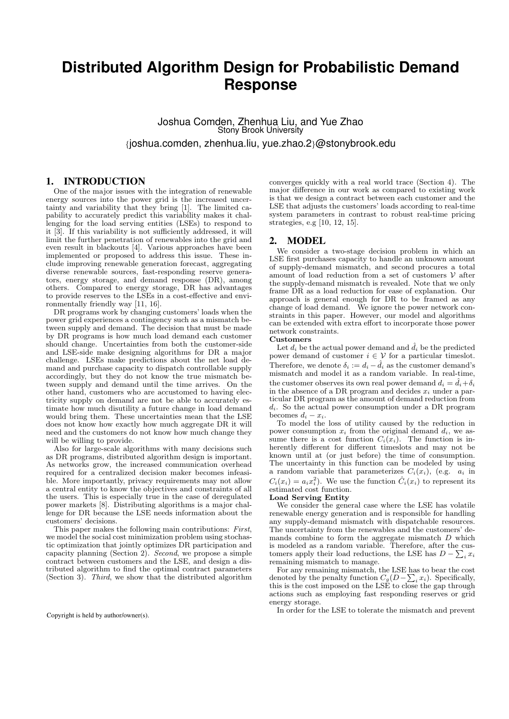# **Distributed Algorithm Design for Probabilistic Demand Response**

Joshua Comden, Zhenhua Liu, and Yue Zhao Stony Brook University {joshua.comden, zhenhua.liu, yue.zhao.2}@stonybrook.edu

## 1. INTRODUCTION

One of the major issues with the integration of renewable energy sources into the power grid is the increased uncertainty and variability that they bring [1]. The limited capability to accurately predict this variability makes it challenging for the load serving entities (LSEs) to respond to it [3]. If this variability is not sufficiently addressed, it will limit the further penetration of renewables into the grid and even result in blackouts [4]. Various approaches have been implemented or proposed to address this issue. These include improving renewable generation forecast, aggregating diverse renewable sources, fast-responding reserve generators, energy storage, and demand response (DR), among others. Compared to energy storage, DR has advantages to provide reserves to the LSEs in a cost-effective and environmentally friendly way [11, 16].

DR programs work by changing customers' loads when the power grid experiences a contingency such as a mismatch between supply and demand. The decision that must be made by DR programs is how much load demand each customer should change. Uncertainties from both the customer-side and LSE-side make designing algorithms for DR a major challenge. LSEs make predictions about the net load demand and purchase capacity to dispatch controllable supply accordingly, but they do not know the true mismatch between supply and demand until the time arrives. On the other hand, customers who are accustomed to having electricity supply on demand are not be able to accurately estimate how much disutility a future change in load demand would bring them. These uncertainties mean that the LSE does not know how exactly how much aggregate DR it will need and the customers do not know how much change they will be willing to provide.

Also for large-scale algorithms with many decisions such as DR programs, distributed algorithm design is important. As networks grow, the increased communication overhead required for a centralized decision maker becomes infeasible. More importantly, privacy requirements may not allow a central entity to know the objectives and constraints of all the users. This is especially true in the case of deregulated power markets [8]. Distributing algorithms is a major challenge for DR because the LSE needs information about the customers' decisions.

This paper makes the following main contributions: First, we model the social cost minimization problem using stochastic optimization that jointly optimizes DR participation and capacity planning (Section 2). Second, we propose a simple contract between customers and the LSE, and design a distributed algorithm to find the optimal contract parameters (Section 3). Third, we show that the distributed algorithm

Copyright is held by author/owner(s).

converges quickly with a real world trace (Section 4). The major difference in our work as compared to existing work is that we design a contract between each customer and the LSE that adjusts the customers' loads according to real-time system parameters in contrast to robust real-time pricing strategies, e.g [10, 12, 15].

#### 2. MODEL

We consider a two-stage decision problem in which an LSE first purchases capacity to handle an unknown amount of supply-demand mismatch, and second procures a total amount of load reduction from a set of customers  $V$  after the supply-demand mismatch is revealed. Note that we only frame DR as a load reduction for ease of explanation. Our approach is general enough for DR to be framed as any change of load demand. We ignore the power network constraints in this paper. However, our model and algorithms can be extended with extra effort to incorporate those power network constraints.

#### Customers

Let  $d_i$  be the actual power demand and  $\tilde{d}_i$  be the predicted power demand of customer  $i \in \mathcal{V}$  for a particular timeslot. Therefore, we denote  $\delta_i := d_i - \hat{d}_i$  as the customer demand's mismatch and model it as a random variable. In real-time, the customer observes its own real power demand  $d_i = \hat{d}_i + \delta_i$ in the absence of a DR program and decides  $x_i$  under a particular DR program as the amount of demand reduction from  $d_i$ . So the actual power consumption under a DR program becomes  $d_i - x_i$ .

To model the loss of utility caused by the reduction in power consumption  $x_i$  from the original demand  $d_i$ , we assume there is a cost function  $C_i(\mathfrak{X}_i)$ . The function is inherently different for different timeslots and may not be known until at (or just before) the time of consumption. The uncertainty in this function can be modeled by using a random variable that parameterizes  $C_i(x_i)$ , (e.g.  $a_i$  in  $C_i(x_i) = a_i x_i^2$ . We use the function  $\hat{C}_i(x_i)$  to represent its estimated cost function.

#### Load Serving Entity

We consider the general case where the LSE has volatile renewable energy generation and is responsible for handling any supply-demand mismatch with dispatchable resources. The uncertainty from the renewables and the customers' demands combine to form the aggregate mismatch  $D$  which is modeled as a random variable. Therefore, after the customers apply their load reductions, the LSE has  $D - \sum_i x_i$ remaining mismatch to manage.

For any remaining mismatch, the LSE has to bear the cost denoted by the penalty function  $C_g(D-\sum_i x_i)$ . Specifically, this is the cost imposed on the LSE to close the gap through actions such as employing fast responding reserves or grid energy storage.

In order for the LSE to tolerate the mismatch and prevent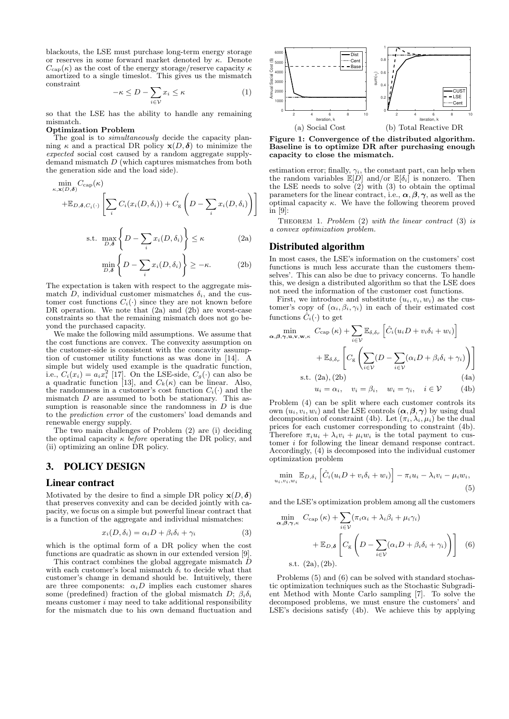blackouts, the LSE must purchase long-term energy storage or reserves in some forward market denoted by  $\kappa$ . Denote  $C_{\text{cap}}(\kappa)$  as the cost of the energy storage/reserve capacity  $\kappa$ amortized to a single timeslot. This gives us the mismatch constraint

$$
-\kappa \le D - \sum_{i \in \mathcal{V}} x_i \le \kappa \tag{1}
$$

so that the LSE has the ability to handle any remaining mismatch.

#### Optimization Problem

The goal is to *simultaneously* decide the capacity planning  $\kappa$  and a practical DR policy  $\mathbf{x}(D, \delta)$  to minimize the expected social cost caused by a random aggregate supplydemand mismatch D (which captures mismatches from both the generation side and the load side).

$$
\min_{\kappa, \mathbf{x}(D, \delta)} C_{\text{cap}}(\kappa) + \mathbb{E}_{D, \delta, C_i(\cdot)} \left[ \sum_i C_i(x_i(D, \delta_i)) + C_{\mathbf{g}} \left( D - \sum_i x_i(D, \delta_i) \right) \right]
$$

$$
\text{s.t. } \max_{D,\delta} \left\{ D - \sum_{i} x_i(D,\delta_i) \right\} \le \kappa \tag{2a}
$$

$$
\min_{D,\delta} \left\{ D - \sum_{i} x_i(D, \delta_i) \right\} \ge -\kappa. \tag{2b}
$$

The expectation is taken with respect to the aggregate mismatch  $D$ , individual customer mismatches  $\delta_i$ , and the customer cost functions  $C_i(\cdot)$  since they are not known before DR operation. We note that  $(2a)$  and  $(2b)$  are worst-case constraints so that the remaining mismatch does not go beyond the purchased capacity.

We make the following mild assumptions. We assume that the cost functions are convex. The convexity assumption on the customer-side is consistent with the concavity assumption of customer utility functions as was done in [14]. A simple but widely used example is the quadratic function, i.e.,  $C_i(x_i) = a_i x_i^2$  [17]. On the LSE-side,  $C_g(\cdot)$  can also be a quadratic function [13], and  $C_k(\kappa)$  can be linear. Also, the randomness in a customer's cost function  $C_i(\cdot)$  and the mismatch D are assumed to both be stationary. This assumption is reasonable since the randomness in  $D$  is due to the prediction error of the customers' load demands and renewable energy supply.

The two main challenges of Problem (2) are (i) deciding the optimal capacity  $\kappa$  before operating the DR policy, and (ii) optimizing an online DR policy.

# 3. POLICY DESIGN

#### Linear contract

Motivated by the desire to find a simple DR policy  $\mathbf{x}(D, \delta)$ that preserves convexity and can be decided jointly with capacity, we focus on a simple but powerful linear contract that is a function of the aggregate and individual mismatches:

$$
x_i(D, \delta_i) = \alpha_i D + \beta_i \delta_i + \gamma_i \tag{3}
$$

which is the optimal form of a DR policy when the cost functions are quadratic as shown in our extended version [9].

This contract combines the global aggregate mismatch D with each customer's local mismatch  $\delta_i$  to decide what that customer's change in demand should be. Intuitively, there are three components:  $\alpha_i D$  implies each customer shares some (predefined) fraction of the global mismatch D;  $\beta_i \delta_i$ means customer  $i$  may need to take additional responsibility for the mismatch due to his own demand fluctuation and



Figure 1: Convergence of the distributed algorithm. Baseline is to optimize DR after purchasing enough capacity to close the mismatch.

estimation error; finally,  $\gamma_i$ , the constant part, can help when the random variables  $\mathbb{E}[D]$  and/or  $\mathbb{E}[\delta_i]$  is nonzero. Then the LSE needs to solve (2) with (3) to obtain the optimal parameters for the linear contract, i.e.,  $\alpha, \beta, \gamma$ , as well as the optimal capacity  $\kappa$ . We have the following theorem proved in [9]:

THEOREM 1. Problem  $(2)$  with the linear contract  $(3)$  is a convex optimization problem.

## Distributed algorithm

In most cases, the LSE's information on the customers' cost functions is much less accurate than the customers themselves'. This can also be due to privacy concerns. To handle this, we design a distributed algorithm so that the LSE does not need the information of the customer cost functions.

First, we introduce and substitute  $(u_i, v_i, w_i)$  as the customer's copy of  $(\alpha_i, \beta_i, \gamma_i)$  in each of their estimated cost functions  $\hat{C}_i(\cdot)$  to get

$$
\min_{\alpha,\beta,\gamma,\mathbf{u},\mathbf{v},\mathbf{w},\kappa} C_{\text{cap}}(\kappa) + \sum_{i \in \mathcal{V}} \mathbb{E}_{\delta,\delta_r} \left[ \hat{C}_i (u_i D + v_i \delta_i + w_i) \right] + \mathbb{E}_{\delta,\delta_r} \left[ C_g \left( \sum_{i \in \mathcal{V}} (D - \sum_{i \in \mathcal{V}} (\alpha_i D + \beta_i \delta_i + \gamma_i) \right) \right]
$$
\ns.t. (2a), (2b) (4a)

 $u_i = \alpha_i$ ,  $v_i = \beta_i$ ,  $w_i = \gamma_i$ ,  $i \in \mathcal{V}$  (4b)

Problem (4) can be split where each customer controls its own  $(u_i, v_i, w_i)$  and the LSE controls  $(\alpha, \beta, \gamma)$  by using dual decomposition of constraint (4b). Let  $(\pi_i, \lambda_i, \mu_i)$  be the dual prices for each customer corresponding to constraint (4b). Therefore  $\pi_i u_i + \lambda_i v_i + \mu_i w_i$  is the total payment to customer i for following the linear demand response contract. Accordingly, (4) is decomposed into the individual customer optimization problem

$$
\min_{u_i, v_i, w_i} \mathbb{E}_{D, \delta_i} \left[ \hat{C}_i (u_i D + v_i \delta_i + w_i) \right] - \pi_i u_i - \lambda_i v_i - \mu_i w_i,
$$
\n(5)

and the LSE's optimization problem among all the customers

$$
\min_{\alpha,\beta,\gamma,\kappa} C_{\text{cap}}(\kappa) + \sum_{i \in \mathcal{V}} (\pi_i \alpha_i + \lambda_i \beta_i + \mu_i \gamma_i)
$$
  
+  $\mathbb{E}_{D,\delta} \left[ C_{\text{g}} \left( D - \sum_{i \in \mathcal{V}} (\alpha_i D + \beta_i \delta_i + \gamma_i) \right) \right]$  (6)  
s.t. (2a), (2b).

Problems (5) and (6) can be solved with standard stochastic optimization techniques such as the Stochastic Subgradient Method with Monte Carlo sampling [7]. To solve the decomposed problems, we must ensure the customers' and LSE's decisions satisfy (4b). We achieve this by applying